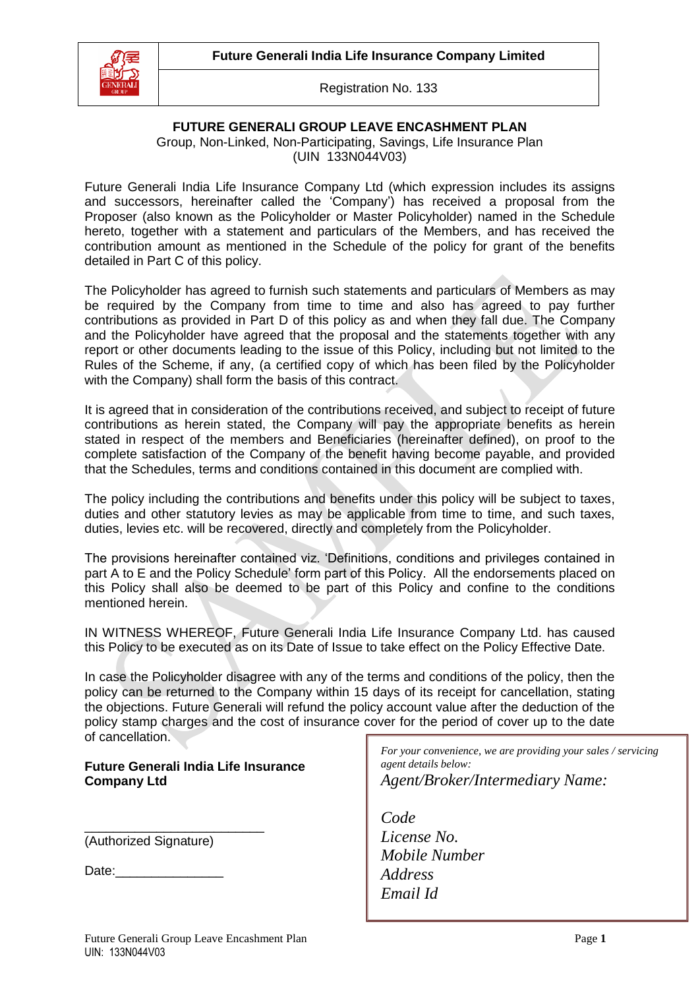

## **FUTURE GENERALI GROUP LEAVE ENCASHMENT PLAN**

Group, Non-Linked, Non-Participating, Savings, Life Insurance Plan (UIN 133N044V03)

Future Generali India Life Insurance Company Ltd (which expression includes its assigns and successors, hereinafter called the 'Company') has received a proposal from the Proposer (also known as the Policyholder or Master Policyholder) named in the Schedule hereto, together with a statement and particulars of the Members, and has received the contribution amount as mentioned in the Schedule of the policy for grant of the benefits detailed in Part C of this policy.

The Policyholder has agreed to furnish such statements and particulars of Members as may be required by the Company from time to time and also has agreed to pay further contributions as provided in Part D of this policy as and when they fall due. The Company and the Policyholder have agreed that the proposal and the statements together with any report or other documents leading to the issue of this Policy, including but not limited to the Rules of the Scheme, if any, (a certified copy of which has been filed by the Policyholder with the Company) shall form the basis of this contract.

It is agreed that in consideration of the contributions received, and subject to receipt of future contributions as herein stated, the Company will pay the appropriate benefits as herein stated in respect of the members and Beneficiaries (hereinafter defined), on proof to the complete satisfaction of the Company of the benefit having become payable, and provided that the Schedules, terms and conditions contained in this document are complied with.

The policy including the contributions and benefits under this policy will be subject to taxes, duties and other statutory levies as may be applicable from time to time, and such taxes, duties, levies etc. will be recovered, directly and completely from the Policyholder.

The provisions hereinafter contained viz. 'Definitions, conditions and privileges contained in part A to E and the Policy Schedule' form part of this Policy. All the endorsements placed on this Policy shall also be deemed to be part of this Policy and confine to the conditions mentioned herein.

IN WITNESS WHEREOF, Future Generali India Life Insurance Company Ltd. has caused this Policy to be executed as on its Date of Issue to take effect on the Policy Effective Date.

In case the Policyholder disagree with any of the terms and conditions of the policy, then the policy can be returned to the Company within 15 days of its receipt for cancellation, stating the objections. Future Generali will refund the policy account value after the deduction of the policy stamp charges and the cost of insurance cover for the period of cover up to the date of cancellation.

#### **Future Generali India Life Insurance Company Ltd**

\_\_\_\_\_\_\_\_\_\_\_\_\_\_\_\_\_\_\_\_\_\_\_\_\_ (Authorized Signature)

 $Date:$ 

*For your convenience, we are providing your sales / servicing agent details below: Agent/Broker/Intermediary Name:*

*Code License No. Mobile Number Address Email Id*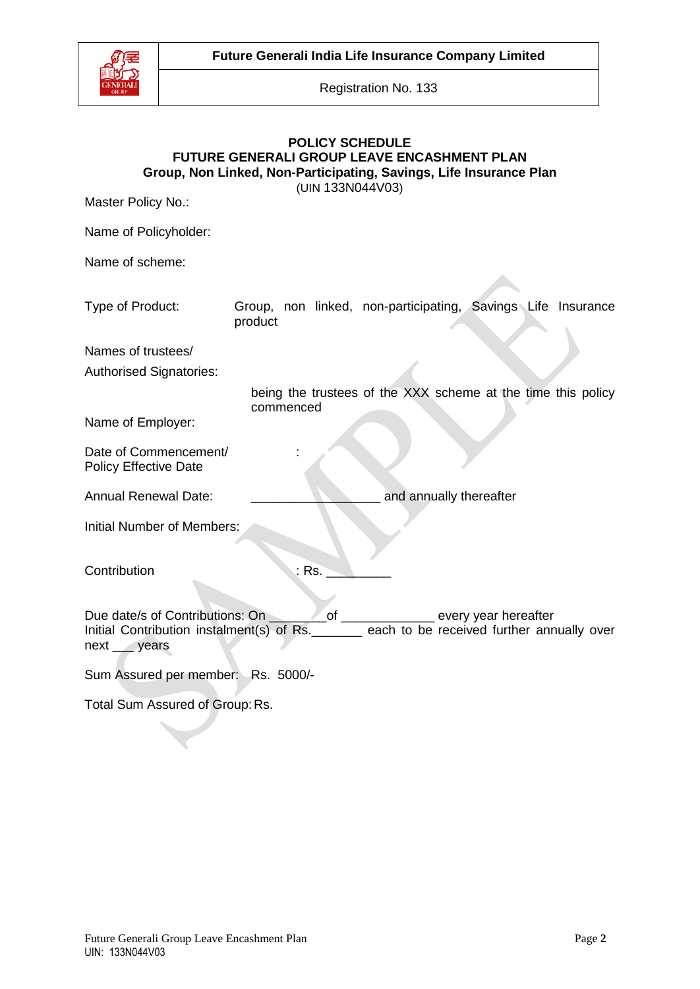

## **POLICY SCHEDULE FUTURE GENERALI GROUP LEAVE ENCASHMENT PLAN Group, Non Linked, Non-Participating, Savings, Life Insurance Plan**

(UIN 133N044V03)

Master Policy No.:

Name of Policyholder:

Name of scheme:

| Type of Product:                                                                                                                             | product   |                                  | Group, non linked, non-participating, Savings Life Insurance |  |
|----------------------------------------------------------------------------------------------------------------------------------------------|-----------|----------------------------------|--------------------------------------------------------------|--|
| Names of trustees/                                                                                                                           |           |                                  |                                                              |  |
| <b>Authorised Signatories:</b>                                                                                                               |           |                                  |                                                              |  |
|                                                                                                                                              |           |                                  | being the trustees of the XXX scheme at the time this policy |  |
| Name of Employer:                                                                                                                            | commenced |                                  |                                                              |  |
| Date of Commencement/<br><b>Policy Effective Date</b>                                                                                        |           |                                  |                                                              |  |
| <b>Annual Renewal Date:</b>                                                                                                                  |           |                                  | and annually thereafter                                      |  |
| <b>Initial Number of Members:</b>                                                                                                            |           |                                  |                                                              |  |
| Contribution                                                                                                                                 |           | $:$ Rs. $\overline{\phantom{a}}$ |                                                              |  |
| Due date/s of Contributions: On<br>Initial Contribution instalment(s) of Rs. _______ each to be received further annually over<br>next years |           |                                  | _of _______________ every year hereafter                     |  |
| Sum Assured per member: Rs. 5000/-                                                                                                           |           |                                  |                                                              |  |
| Total Sum Assured of Group: Rs.                                                                                                              |           |                                  |                                                              |  |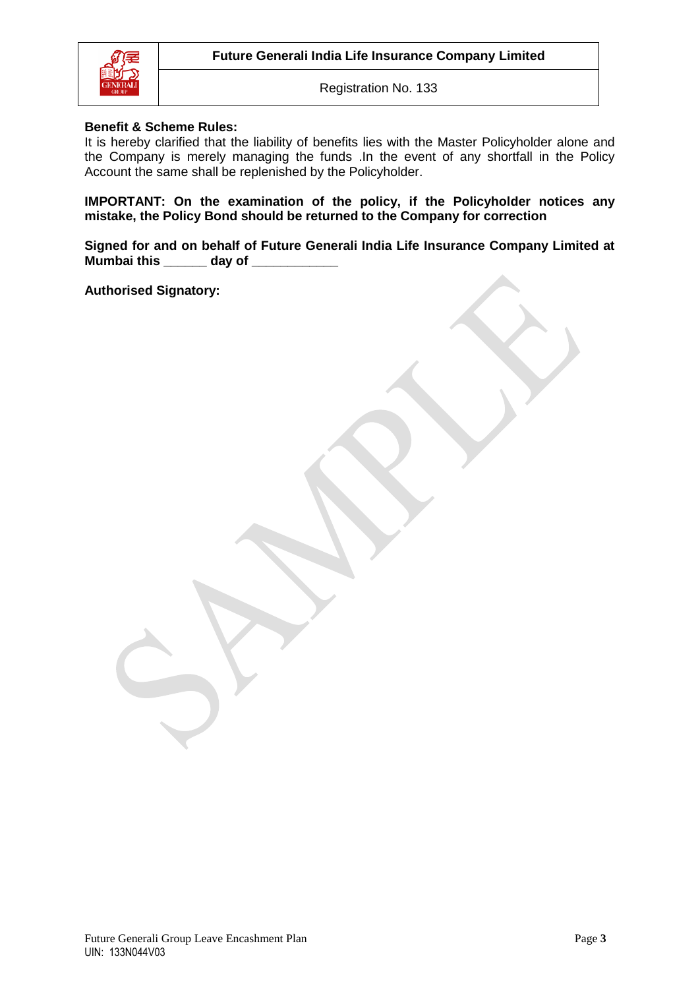

#### **Benefit & Scheme Rules:**

It is hereby clarified that the liability of benefits lies with the Master Policyholder alone and the Company is merely managing the funds .In the event of any shortfall in the Policy Account the same shall be replenished by the Policyholder.

**IMPORTANT: On the examination of the policy, if the Policyholder notices any mistake, the Policy Bond should be returned to the Company for correction**

**Signed for and on behalf of Future Generali India Life Insurance Company Limited at Mumbai this \_\_\_\_\_\_ day of \_\_\_\_\_\_\_\_\_\_\_\_**

**Authorised Signatory:**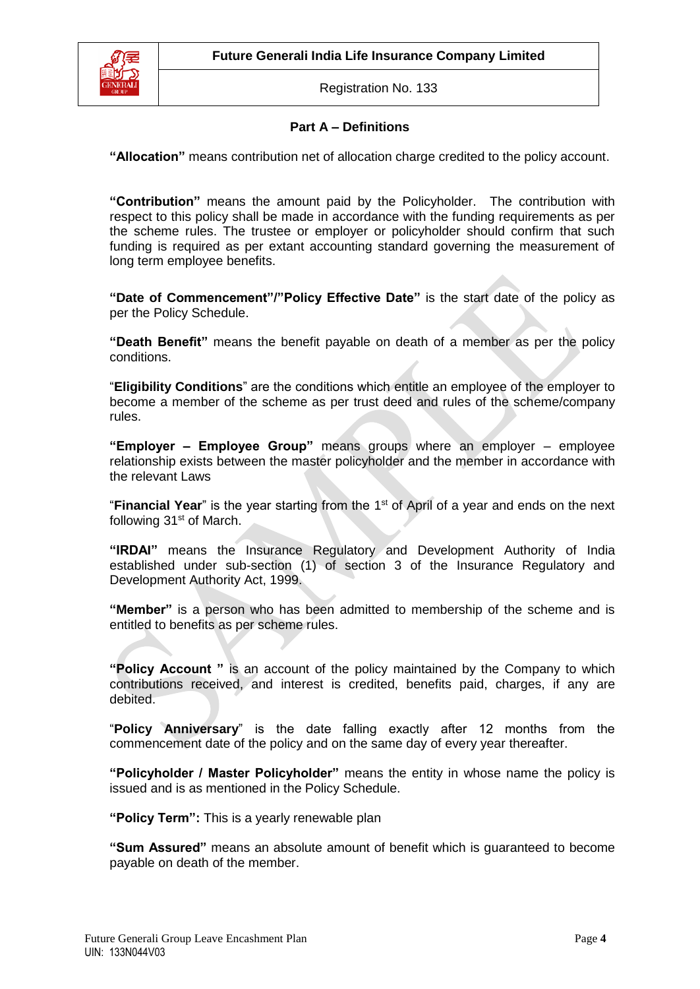

## **Part A – Definitions**

**"Allocation"** means contribution net of allocation charge credited to the policy account.

**"Contribution"** means the amount paid by the Policyholder. The contribution with respect to this policy shall be made in accordance with the funding requirements as per the scheme rules. The trustee or employer or policyholder should confirm that such funding is required as per extant accounting standard governing the measurement of long term employee benefits.

**"Date of Commencement"/"Policy Effective Date"** is the start date of the policy as per the Policy Schedule.

**"Death Benefit"** means the benefit payable on death of a member as per the policy conditions.

"**Eligibility Conditions**" are the conditions which entitle an employee of the employer to become a member of the scheme as per trust deed and rules of the scheme/company rules.

**"Employer – Employee Group"** means groups where an employer – employee relationship exists between the master policyholder and the member in accordance with the relevant Laws

"Financial Year" is the year starting from the 1<sup>st</sup> of April of a year and ends on the next following 31<sup>st</sup> of March.

**"IRDAI"** means the Insurance Regulatory and Development Authority of India established under sub-section (1) of section 3 of the Insurance Regulatory and Development Authority Act, 1999.

**"Member"** is a person who has been admitted to membership of the scheme and is entitled to benefits as per scheme rules.

**"Policy Account "** is an account of the policy maintained by the Company to which contributions received, and interest is credited, benefits paid, charges, if any are debited.

"**Policy Anniversary**" is the date falling exactly after 12 months from the commencement date of the policy and on the same day of every year thereafter.

**"Policyholder / Master Policyholder"** means the entity in whose name the policy is issued and is as mentioned in the Policy Schedule.

**"Policy Term":** This is a yearly renewable plan

**"Sum Assured"** means an absolute amount of benefit which is guaranteed to become payable on death of the member.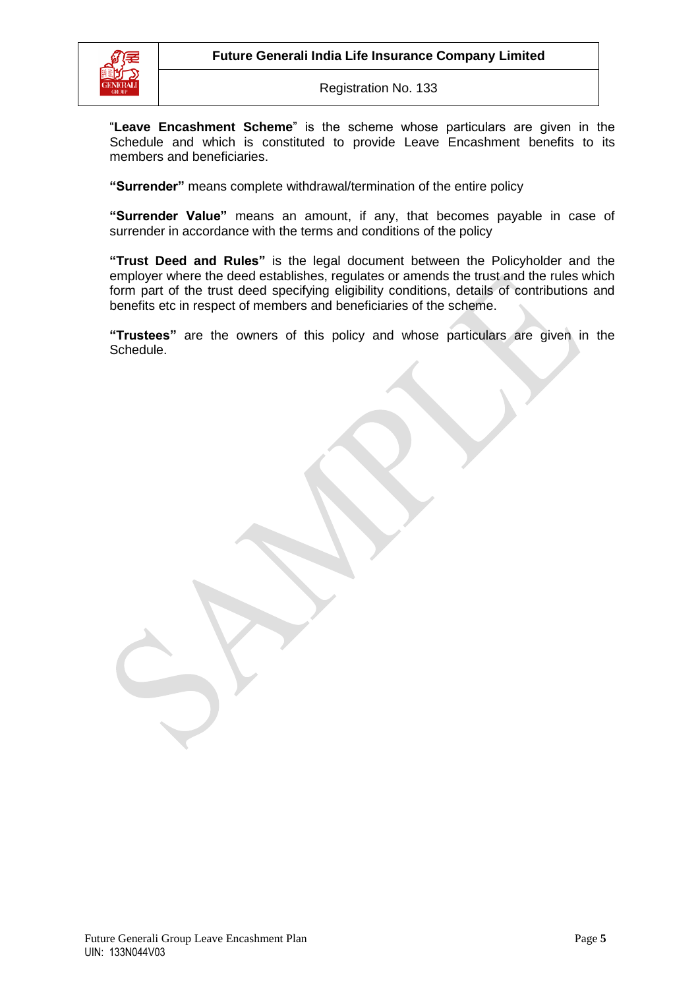

"**Leave Encashment Scheme**" is the scheme whose particulars are given in the Schedule and which is constituted to provide Leave Encashment benefits to its members and beneficiaries.

**"Surrender"** means complete withdrawal/termination of the entire policy

**"Surrender Value"** means an amount, if any, that becomes payable in case of surrender in accordance with the terms and conditions of the policy

**"Trust Deed and Rules"** is the legal document between the Policyholder and the employer where the deed establishes, regulates or amends the trust and the rules which form part of the trust deed specifying eligibility conditions, details of contributions and benefits etc in respect of members and beneficiaries of the scheme.

**"Trustees"** are the owners of this policy and whose particulars are given in the Schedule.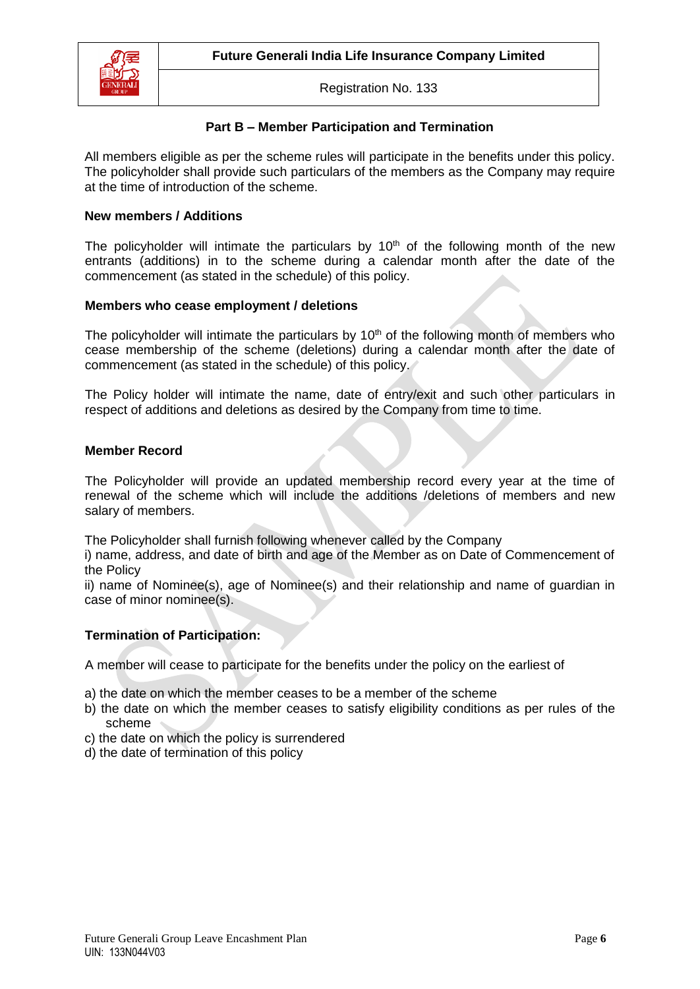

### **Part B – Member Participation and Termination**

All members eligible as per the scheme rules will participate in the benefits under this policy. The policyholder shall provide such particulars of the members as the Company may require at the time of introduction of the scheme.

#### **New members / Additions**

The policyholder will intimate the particulars by  $10<sup>th</sup>$  of the following month of the new entrants (additions) in to the scheme during a calendar month after the date of the commencement (as stated in the schedule) of this policy.

### **Members who cease employment / deletions**

The policyholder will intimate the particulars by  $10<sup>th</sup>$  of the following month of members who cease membership of the scheme (deletions) during a calendar month after the date of commencement (as stated in the schedule) of this policy.

The Policy holder will intimate the name, date of entry/exit and such other particulars in respect of additions and deletions as desired by the Company from time to time.

#### **Member Record**

The Policyholder will provide an updated membership record every year at the time of renewal of the scheme which will include the additions /deletions of members and new salary of members.

The Policyholder shall furnish following whenever called by the Company

i) name, address, and date of birth and age of the Member as on Date of Commencement of the Policy

ii) name of Nominee(s), age of Nominee(s) and their relationship and name of guardian in case of minor nominee(s).

### **Termination of Participation:**

A member will cease to participate for the benefits under the policy on the earliest of

- a) the date on which the member ceases to be a member of the scheme
- b) the date on which the member ceases to satisfy eligibility conditions as per rules of the scheme
- c) the date on which the policy is surrendered
- d) the date of termination of this policy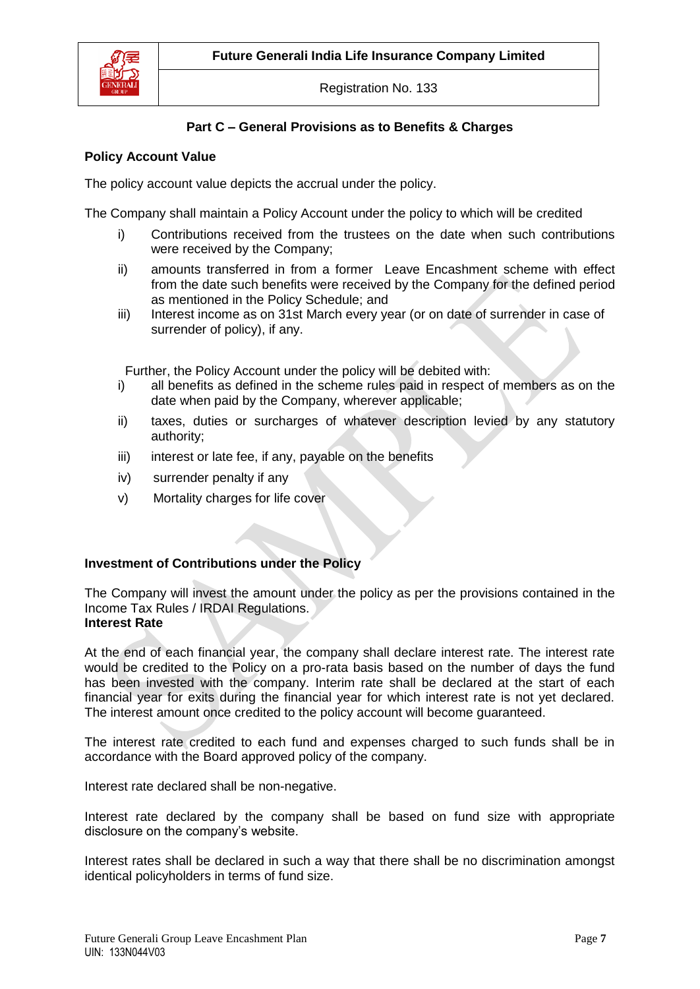

## **Part C – General Provisions as to Benefits & Charges**

### **Policy Account Value**

The policy account value depicts the accrual under the policy.

The Company shall maintain a Policy Account under the policy to which will be credited

- i) Contributions received from the trustees on the date when such contributions were received by the Company;
- ii) amounts transferred in from a former Leave Encashment scheme with effect from the date such benefits were received by the Company for the defined period as mentioned in the Policy Schedule; and
- iii) Interest income as on 31st March every year (or on date of surrender in case of surrender of policy), if any.

Further, the Policy Account under the policy will be debited with:

- i) all benefits as defined in the scheme rules paid in respect of members as on the date when paid by the Company, wherever applicable;
- ii) taxes, duties or surcharges of whatever description levied by any statutory authority;
- iii) interest or late fee, if any, payable on the benefits
- iv) surrender penalty if any
- v) Mortality charges for life cover

## **Investment of Contributions under the Policy**

The Company will invest the amount under the policy as per the provisions contained in the Income Tax Rules / IRDAI Regulations. **Interest Rate**

At the end of each financial year, the company shall declare interest rate. The interest rate would be credited to the Policy on a pro-rata basis based on the number of days the fund has been invested with the company. Interim rate shall be declared at the start of each financial year for exits during the financial year for which interest rate is not yet declared. The interest amount once credited to the policy account will become guaranteed.

The interest rate credited to each fund and expenses charged to such funds shall be in accordance with the Board approved policy of the company.

Interest rate declared shall be non-negative.

Interest rate declared by the company shall be based on fund size with appropriate disclosure on the company's website.

Interest rates shall be declared in such a way that there shall be no discrimination amongst identical policyholders in terms of fund size.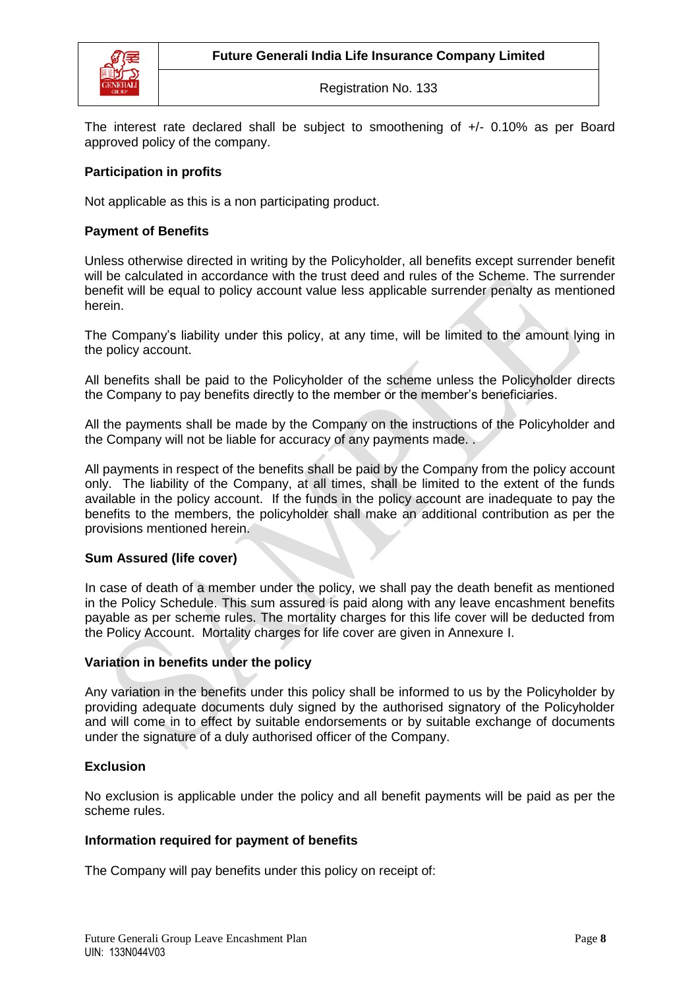

The interest rate declared shall be subject to smoothening of +/- 0.10% as per Board approved policy of the company.

## **Participation in profits**

Not applicable as this is a non participating product.

## **Payment of Benefits**

Unless otherwise directed in writing by the Policyholder, all benefits except surrender benefit will be calculated in accordance with the trust deed and rules of the Scheme. The surrender benefit will be equal to policy account value less applicable surrender penalty as mentioned herein.

The Company's liability under this policy, at any time, will be limited to the amount lying in the policy account.

All benefits shall be paid to the Policyholder of the scheme unless the Policyholder directs the Company to pay benefits directly to the member or the member's beneficiaries.

All the payments shall be made by the Company on the instructions of the Policyholder and the Company will not be liable for accuracy of any payments made. .

All payments in respect of the benefits shall be paid by the Company from the policy account only. The liability of the Company, at all times, shall be limited to the extent of the funds available in the policy account. If the funds in the policy account are inadequate to pay the benefits to the members, the policyholder shall make an additional contribution as per the provisions mentioned herein.

### **Sum Assured (life cover)**

In case of death of a member under the policy, we shall pay the death benefit as mentioned in the Policy Schedule. This sum assured is paid along with any leave encashment benefits payable as per scheme rules. The mortality charges for this life cover will be deducted from the Policy Account. Mortality charges for life cover are given in Annexure I.

### **Variation in benefits under the policy**

Any variation in the benefits under this policy shall be informed to us by the Policyholder by providing adequate documents duly signed by the authorised signatory of the Policyholder and will come in to effect by suitable endorsements or by suitable exchange of documents under the signature of a duly authorised officer of the Company.

## **Exclusion**

No exclusion is applicable under the policy and all benefit payments will be paid as per the scheme rules.

### **Information required for payment of benefits**

The Company will pay benefits under this policy on receipt of: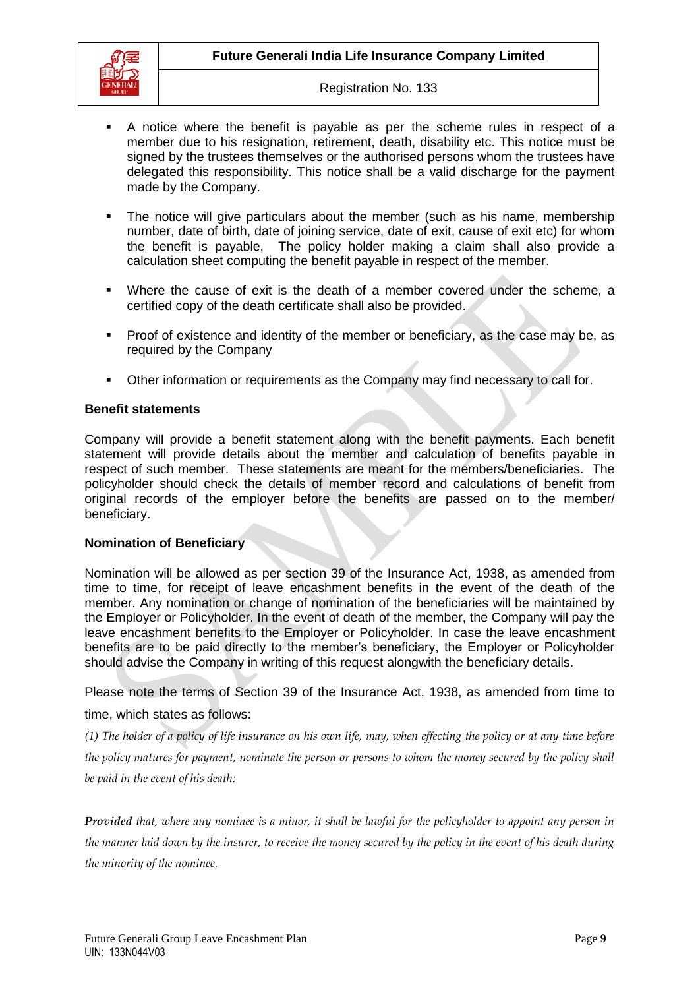

- A notice where the benefit is payable as per the scheme rules in respect of a member due to his resignation, retirement, death, disability etc. This notice must be signed by the trustees themselves or the authorised persons whom the trustees have delegated this responsibility. This notice shall be a valid discharge for the payment made by the Company.
- The notice will give particulars about the member (such as his name, membership number, date of birth, date of joining service, date of exit, cause of exit etc) for whom the benefit is payable, The policy holder making a claim shall also provide a calculation sheet computing the benefit payable in respect of the member.
- Where the cause of exit is the death of a member covered under the scheme, a certified copy of the death certificate shall also be provided.
- **Proof of existence and identity of the member or beneficiary, as the case may be, as** required by the Company
- Other information or requirements as the Company may find necessary to call for.

#### **Benefit statements**

Company will provide a benefit statement along with the benefit payments. Each benefit statement will provide details about the member and calculation of benefits payable in respect of such member. These statements are meant for the members/beneficiaries. The policyholder should check the details of member record and calculations of benefit from original records of the employer before the benefits are passed on to the member/ beneficiary.

### **Nomination of Beneficiary**

Nomination will be allowed as per section 39 of the Insurance Act, 1938, as amended from time to time, for receipt of leave encashment benefits in the event of the death of the member. Any nomination or change of nomination of the beneficiaries will be maintained by the Employer or Policyholder. In the event of death of the member, the Company will pay the leave encashment benefits to the Employer or Policyholder. In case the leave encashment benefits are to be paid directly to the member's beneficiary, the Employer or Policyholder should advise the Company in writing of this request alongwith the beneficiary details.

Please note the terms of Section 39 of the Insurance Act, 1938, as amended from time to

## time, which states as follows:

*(1) The holder of a policy of life insurance on his own life, may, when effecting the policy or at any time before the policy matures for payment, nominate the person or persons to whom the money secured by the policy shall be paid in the event of his death:*

*Provided that, where any nominee is a minor, it shall be lawful for the policyholder to appoint any person in the manner laid down by the insurer, to receive the money secured by the policy in the event of his death during the minority of the nominee.*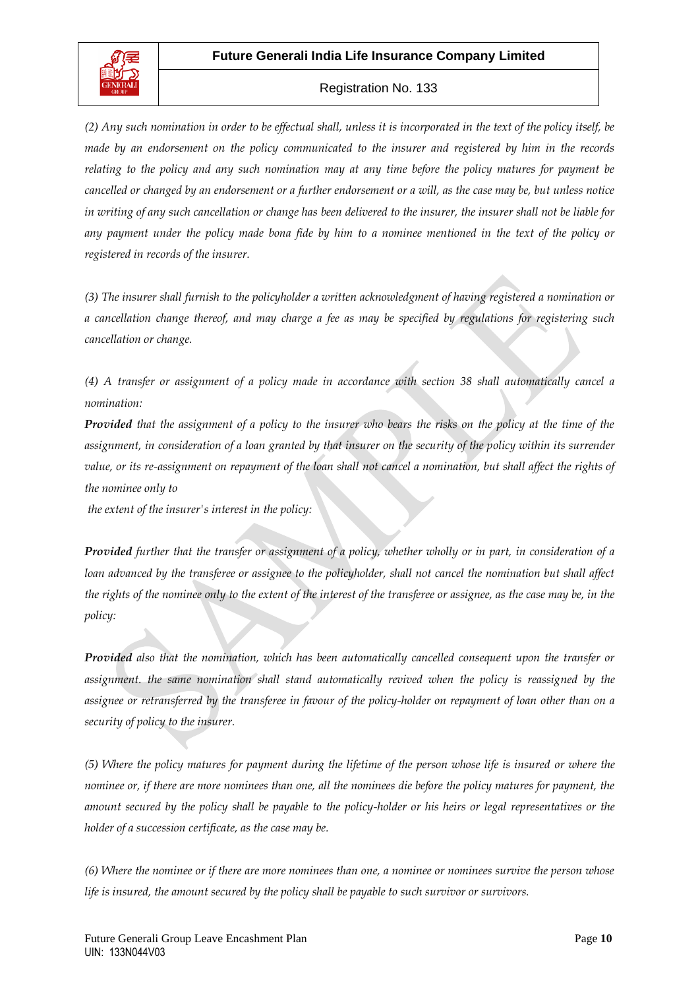

*(2) Any such nomination in order to be effectual shall, unless it is incorporated in the text of the policy itself, be made by an endorsement on the policy communicated to the insurer and registered by him in the records relating to the policy and any such nomination may at any time before the policy matures for payment be cancelled or changed by an endorsement or a further endorsement or a will, as the case may be, but unless notice in writing of any such cancellation or change has been delivered to the insurer, the insurer shall not be liable for any payment under the policy made bona fide by him to a nominee mentioned in the text of the policy or registered in records of the insurer.*

*(3) The insurer shall furnish to the policyholder a written acknowledgment of having registered a nomination or a cancellation change thereof, and may charge a fee as may be specified by regulations for registering such cancellation or change.*

*(4) A transfer or assignment of a policy made in accordance with section 38 shall automatically cancel a nomination:* 

*Provided that the assignment of a policy to the insurer who bears the risks on the policy at the time of the assignment, in consideration of a loan granted by that insurer on the security of the policy within its surrender* value, or its re-assignment on repayment of the loan shall not cancel a nomination, but shall affect the rights of *the nominee only to*

*the extent of the insurer's interest in the policy:*

*Provided further that the transfer or assignment of a policy, whether wholly or in part, in consideration of a loan advanced by the transferee or assignee to the policyholder, shall not cancel the nomination but shall affect the rights of the nominee only to the extent of the interest of the transferee or assignee, as the case may be, in the policy:*

*Provided also that the nomination, which has been automatically cancelled consequent upon the transfer or assignment. the same nomination shall stand automatically revived when the policy is reassigned by the assignee or retransferred by the transferee in favour of the policy-holder on repayment of loan other than on a security of policy to the insurer.*

*(5) Where the policy matures for payment during the lifetime of the person whose life is insured or where the nominee or, if there are more nominees than one, all the nominees die before the policy matures for payment, the amount secured by the policy shall be payable to the policy-holder or his heirs or legal representatives or the holder of a succession certificate, as the case may be.*

*(6) Where the nominee or if there are more nominees than one, a nominee or nominees survive the person whose life is insured, the amount secured by the policy shall be payable to such survivor or survivors.*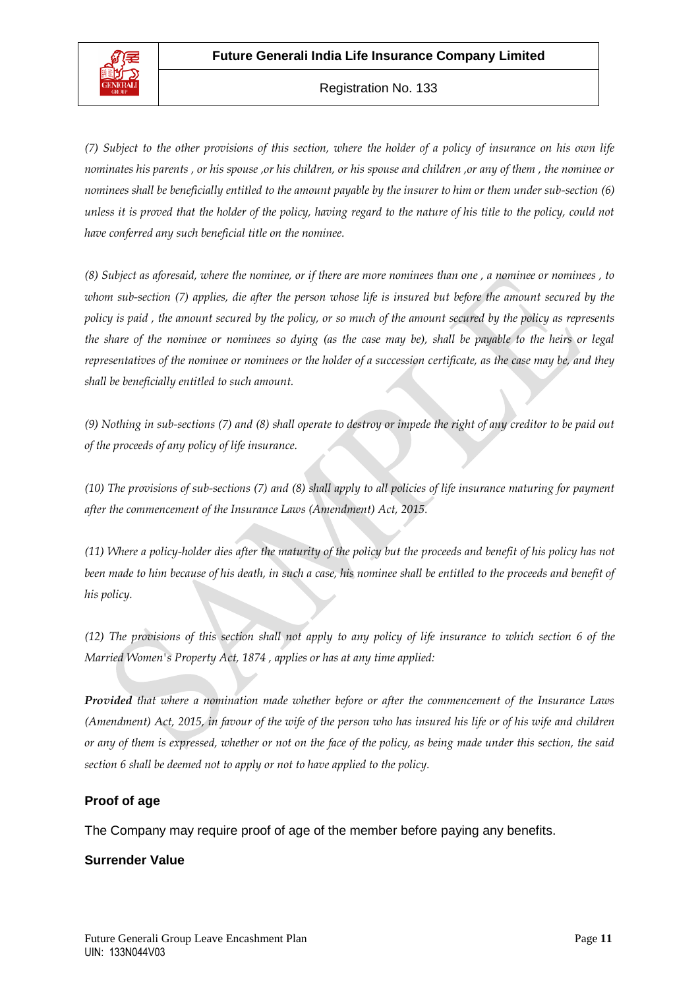

*(7) Subject to the other provisions of this section, where the holder of a policy of insurance on his own life nominates his parents , or his spouse ,or his children, or his spouse and children ,or any of them , the nominee or nominees shall be beneficially entitled to the amount payable by the insurer to him or them under sub-section (6) unless it is proved that the holder of the policy, having regard to the nature of his title to the policy, could not have conferred any such beneficial title on the nominee.*

*(8) Subject as aforesaid, where the nominee, or if there are more nominees than one , a nominee or nominees , to whom sub-section (7) applies, die after the person whose life is insured but before the amount secured by the*  policy is paid, the amount secured by the policy, or so much of the amount secured by the policy as represents *the share of the nominee or nominees so dying (as the case may be), shall be payable to the heirs or legal representatives of the nominee or nominees or the holder of a succession certificate, as the case may be, and they shall be beneficially entitled to such amount.*

*(9) Nothing in sub-sections (7) and (8) shall operate to destroy or impede the right of any creditor to be paid out of the proceeds of any policy of life insurance.*

*(10) The provisions of sub-sections (7) and (8) shall apply to all policies of life insurance maturing for payment after the commencement of the Insurance Laws (Amendment) Act, 2015.*

*(11) Where a policy-holder dies after the maturity of the policy but the proceeds and benefit of his policy has not been made to him because of his death, in such a case, his nominee shall be entitled to the proceeds and benefit of his policy.*

*(12) The provisions of this section shall not apply to any policy of life insurance to which section 6 of the Married Women's Property Act, 1874 , applies or has at any time applied:*

*Provided that where a nomination made whether before or after the commencement of the Insurance Laws (Amendment) Act, 2015, in favour of the wife of the person who has insured his life or of his wife and children or any of them is expressed, whether or not on the face of the policy, as being made under this section, the said section 6 shall be deemed not to apply or not to have applied to the policy.*

### **Proof of age**

The Company may require proof of age of the member before paying any benefits.

### **Surrender Value**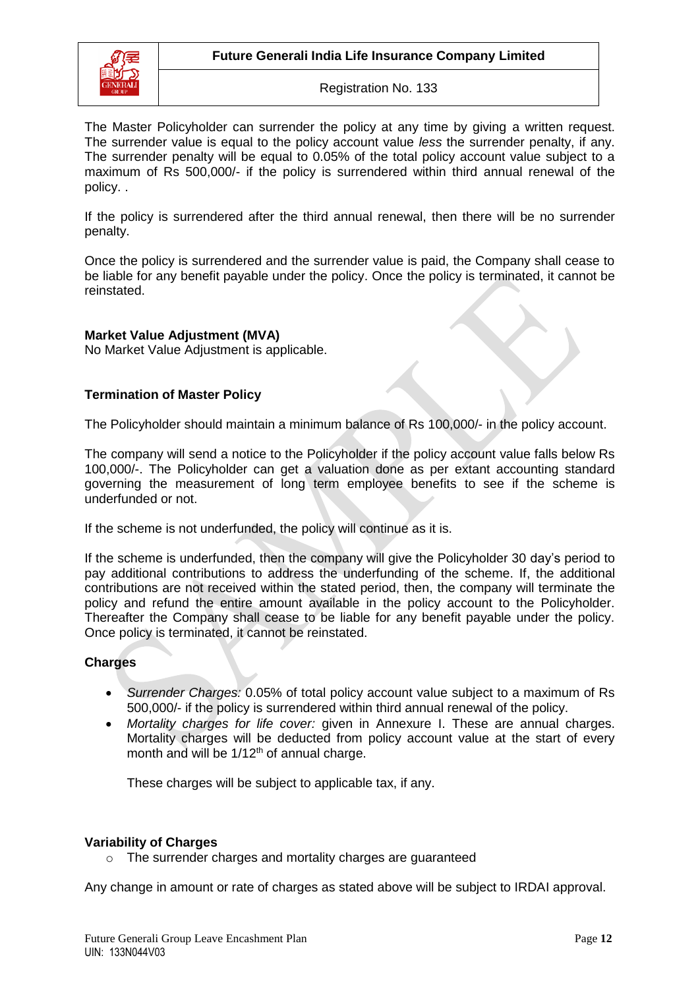

The Master Policyholder can surrender the policy at any time by giving a written request. The surrender value is equal to the policy account value *less* the surrender penalty, if any. The surrender penalty will be equal to 0.05% of the total policy account value subject to a maximum of Rs 500,000/- if the policy is surrendered within third annual renewal of the policy. .

If the policy is surrendered after the third annual renewal, then there will be no surrender penalty.

Once the policy is surrendered and the surrender value is paid, the Company shall cease to be liable for any benefit payable under the policy. Once the policy is terminated, it cannot be reinstated.

## **Market Value Adjustment (MVA)**

No Market Value Adjustment is applicable.

## **Termination of Master Policy**

The Policyholder should maintain a minimum balance of Rs 100,000/- in the policy account.

The company will send a notice to the Policyholder if the policy account value falls below Rs 100,000/-. The Policyholder can get a valuation done as per extant accounting standard governing the measurement of long term employee benefits to see if the scheme is underfunded or not.

If the scheme is not underfunded, the policy will continue as it is.

If the scheme is underfunded, then the company will give the Policyholder 30 day's period to pay additional contributions to address the underfunding of the scheme. If, the additional contributions are not received within the stated period, then, the company will terminate the policy and refund the entire amount available in the policy account to the Policyholder. Thereafter the Company shall cease to be liable for any benefit payable under the policy. Once policy is terminated, it cannot be reinstated.

### **Charges**

- *Surrender Charges:* 0.05% of total policy account value subject to a maximum of Rs 500,000/- if the policy is surrendered within third annual renewal of the policy.
- *Mortality charges for life cover:* given in Annexure I. These are annual charges. Mortality charges will be deducted from policy account value at the start of every month and will be 1/12<sup>th</sup> of annual charge.

These charges will be subject to applicable tax, if any.

#### **Variability of Charges**

o The surrender charges and mortality charges are guaranteed

Any change in amount or rate of charges as stated above will be subject to IRDAI approval.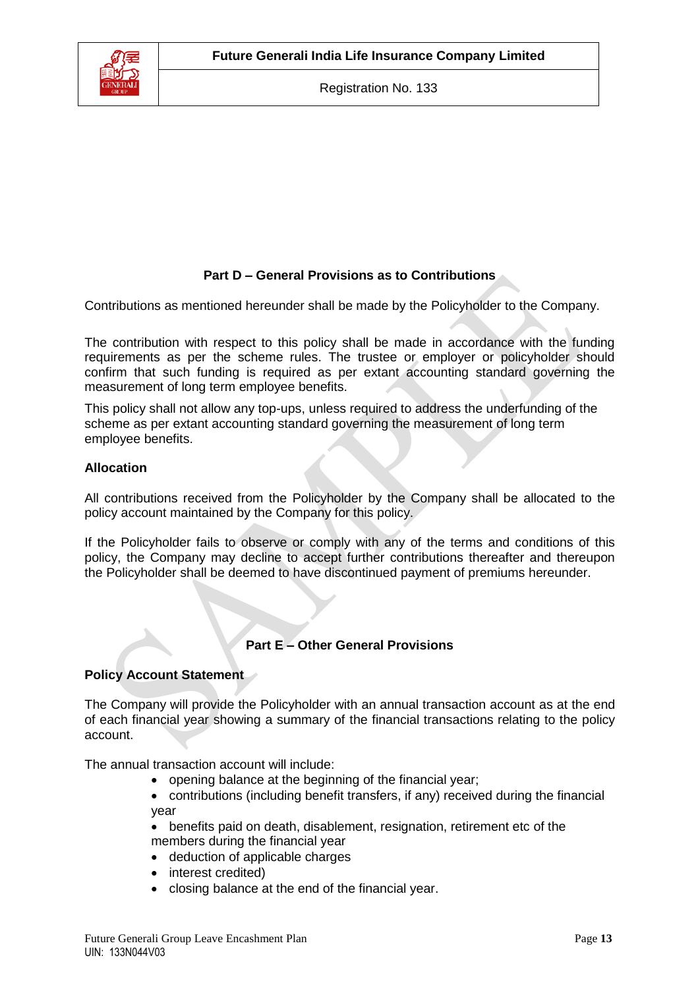

## **Part D – General Provisions as to Contributions**

Contributions as mentioned hereunder shall be made by the Policyholder to the Company.

The contribution with respect to this policy shall be made in accordance with the funding requirements as per the scheme rules. The trustee or employer or policyholder should confirm that such funding is required as per extant accounting standard governing the measurement of long term employee benefits.

This policy shall not allow any top-ups, unless required to address the underfunding of the scheme as per extant accounting standard governing the measurement of long term employee benefits.

### **Allocation**

All contributions received from the Policyholder by the Company shall be allocated to the policy account maintained by the Company for this policy.

If the Policyholder fails to observe or comply with any of the terms and conditions of this policy, the Company may decline to accept further contributions thereafter and thereupon the Policyholder shall be deemed to have discontinued payment of premiums hereunder.

### **Part E – Other General Provisions**

### **Policy Account Statement**

The Company will provide the Policyholder with an annual transaction account as at the end of each financial year showing a summary of the financial transactions relating to the policy account.

The annual transaction account will include:

- opening balance at the beginning of the financial year;
- contributions (including benefit transfers, if any) received during the financial year
- benefits paid on death, disablement, resignation, retirement etc of the members during the financial year
- deduction of applicable charges
- interest credited)
- closing balance at the end of the financial year.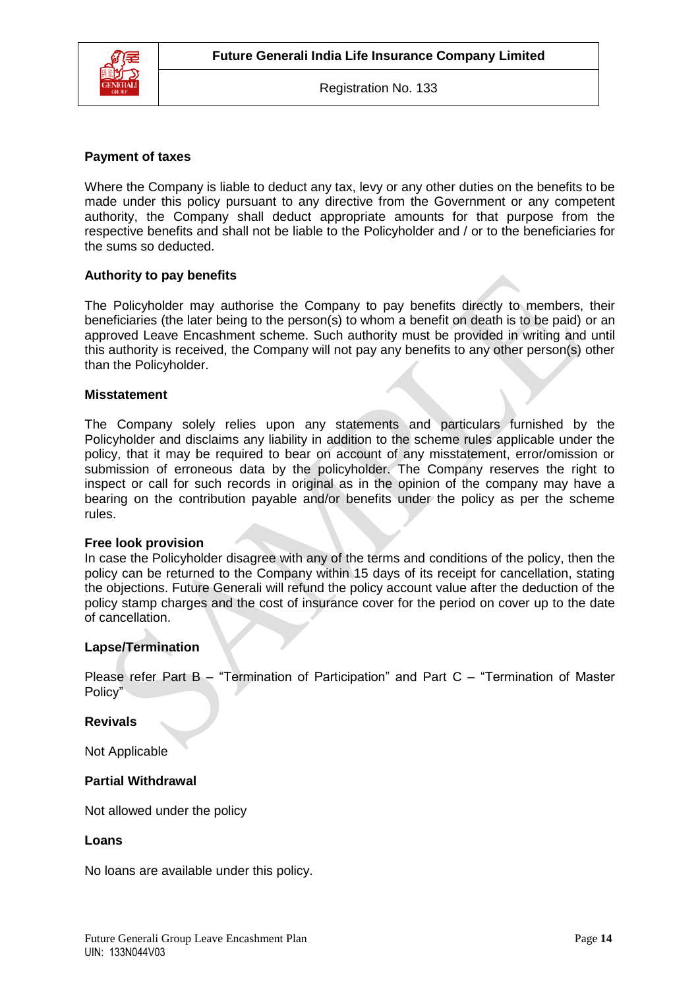

#### **Payment of taxes**

Where the Company is liable to deduct any tax, levy or any other duties on the benefits to be made under this policy pursuant to any directive from the Government or any competent authority, the Company shall deduct appropriate amounts for that purpose from the respective benefits and shall not be liable to the Policyholder and / or to the beneficiaries for the sums so deducted.

#### **Authority to pay benefits**

The Policyholder may authorise the Company to pay benefits directly to members, their beneficiaries (the later being to the person(s) to whom a benefit on death is to be paid) or an approved Leave Encashment scheme. Such authority must be provided in writing and until this authority is received, the Company will not pay any benefits to any other person(s) other than the Policyholder.

#### **Misstatement**

The Company solely relies upon any statements and particulars furnished by the Policyholder and disclaims any liability in addition to the scheme rules applicable under the policy, that it may be required to bear on account of any misstatement, error/omission or submission of erroneous data by the policyholder. The Company reserves the right to inspect or call for such records in original as in the opinion of the company may have a bearing on the contribution payable and/or benefits under the policy as per the scheme rules.

#### **Free look provision**

In case the Policyholder disagree with any of the terms and conditions of the policy, then the policy can be returned to the Company within 15 days of its receipt for cancellation, stating the objections. Future Generali will refund the policy account value after the deduction of the policy stamp charges and the cost of insurance cover for the period on cover up to the date of cancellation.

#### **Lapse/Termination**

Please refer Part B – "Termination of Participation" and Part C – "Termination of Master Policy"

#### **Revivals**

Not Applicable

#### **Partial Withdrawal**

Not allowed under the policy

#### **Loans**

No loans are available under this policy.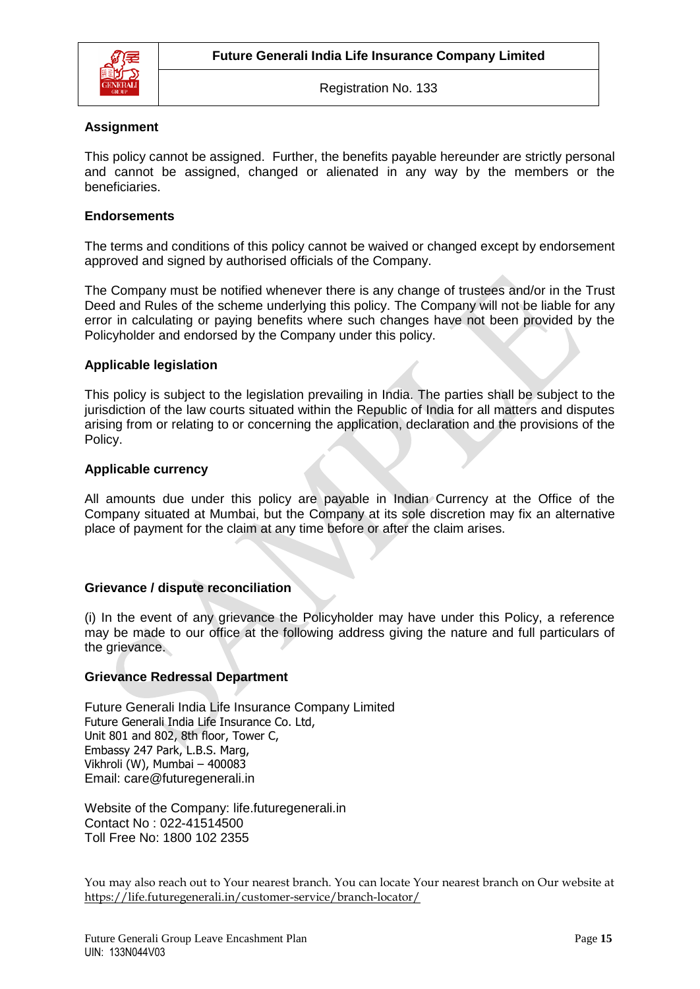

### **Assignment**

This policy cannot be assigned. Further, the benefits payable hereunder are strictly personal and cannot be assigned, changed or alienated in any way by the members or the beneficiaries.

### **Endorsements**

The terms and conditions of this policy cannot be waived or changed except by endorsement approved and signed by authorised officials of the Company.

The Company must be notified whenever there is any change of trustees and/or in the Trust Deed and Rules of the scheme underlying this policy. The Company will not be liable for any error in calculating or paying benefits where such changes have not been provided by the Policyholder and endorsed by the Company under this policy.

#### **Applicable legislation**

This policy is subject to the legislation prevailing in India. The parties shall be subject to the jurisdiction of the law courts situated within the Republic of India for all matters and disputes arising from or relating to or concerning the application, declaration and the provisions of the Policy.

### **Applicable currency**

All amounts due under this policy are payable in Indian Currency at the Office of the Company situated at Mumbai, but the Company at its sole discretion may fix an alternative place of payment for the claim at any time before or after the claim arises.

#### **Grievance / dispute reconciliation**

(i) In the event of any grievance the Policyholder may have under this Policy, a reference may be made to our office at the following address giving the nature and full particulars of the grievance.

#### **Grievance Redressal Department**

Future Generali India Life Insurance Company Limited Future Generali India Life Insurance Co. Ltd, Unit 801 and 802, 8th floor, Tower C, Embassy 247 Park, L.B.S. Marg, Vikhroli (W), Mumbai – 400083 Email: [care@futuregenerali.in](mailto:care@futuregenerali.in)

Website of the Company: [life.futuregenerali.in](http://www.futuregenerali.in/) Contact No : 022-41514500 Toll Free No: 1800 102 2355

You may also reach out to Your nearest branch. You can locate Your nearest branch on Our website at <https://life.futuregenerali.in/customer-service/branch-locator/>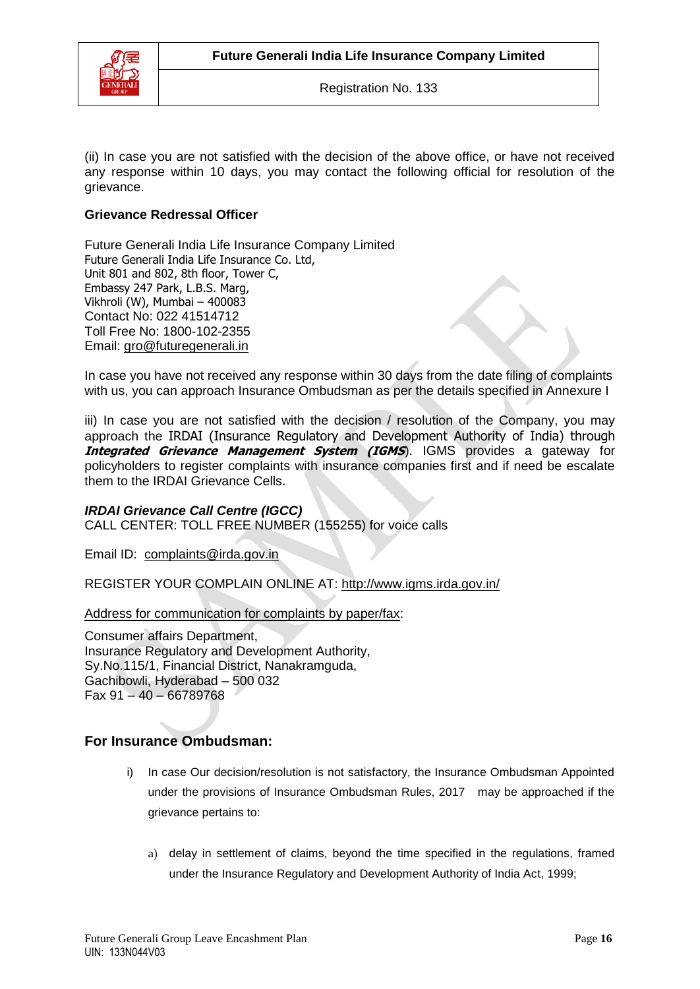

(ii) In case you are not satisfied with the decision of the above office, or have not received any response within 10 days, you may contact the following official for resolution of the grievance.

## **Grievance Redressal Officer**

Future Generali India Life Insurance Company Limited Future Generali India Life Insurance Co. Ltd, Unit 801 and 802, 8th floor, Tower C, Embassy 247 Park, L.B.S. Marg, Vikhroli (W), Mumbai – 400083 Contact No: 022 41514712 Toll Free No: 1800-102-2355 Email: [gro@futuregenerali.in](mailto:gro@futuregenerali.in)

In case you have not received any response within 30 days from the date filing of complaints with us, you can approach Insurance Ombudsman as per the details specified in Annexure I

iii) In case you are not satisfied with the decision / resolution of the Company, you may approach the IRDAI (Insurance Regulatory and Development Authority of India) through **Integrated Grievance Management System (IGMS).** IGMS provides a gateway for policyholders to register complaints with insurance companies first and if need be escalate them to the IRDAI Grievance Cells.

### *IRDAI Grievance Call Centre (IGCC)*

CALL CENTER: TOLL FREE NUMBER (155255) for voice calls

Email ID: [complaints@irda.gov.in](mailto:complaints@irda.gov.in)

REGISTER YOUR COMPLAIN ONLINE AT:<http://www.igms.irda.gov.in/>

Address for communication for complaints by paper/fax:

Consumer affairs Department, Insurance Regulatory and Development Authority, Sy.No.115/1, Financial District, Nanakramguda, Gachibowli, Hyderabad – 500 032 Fax 91 – 40 – 66789768

## **For Insurance Ombudsman:**

- i) In case Our decision/resolution is not satisfactory, the Insurance Ombudsman Appointed under the provisions of Insurance Ombudsman Rules, 2017 may be approached if the grievance pertains to:
	- a) delay in settlement of claims, beyond the time specified in the regulations, framed under the Insurance Regulatory and Development Authority of India Act, 1999;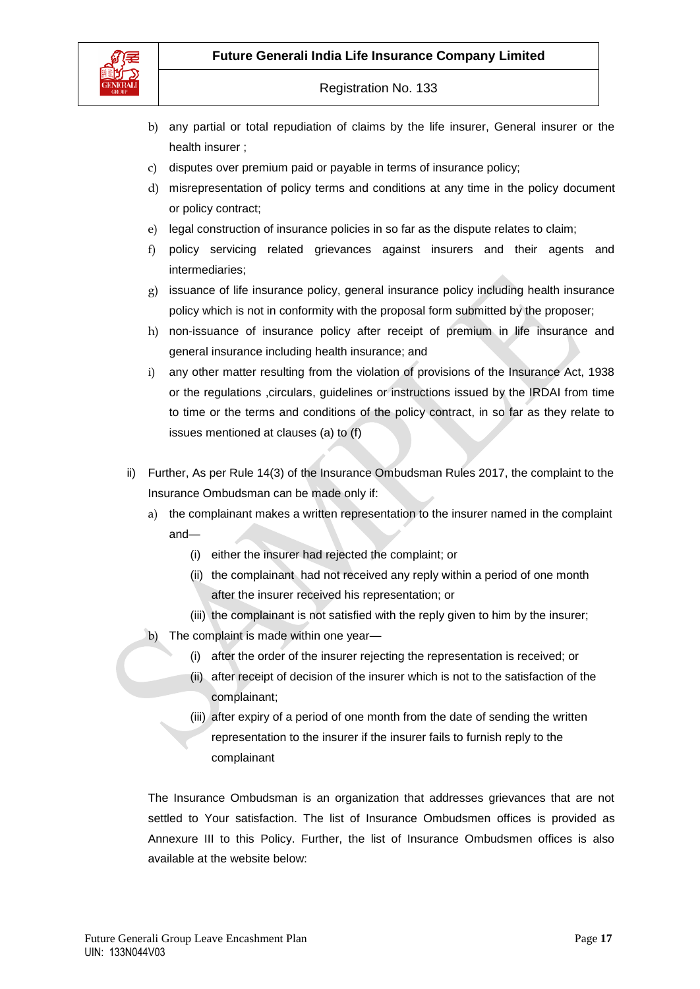



- b) any partial or total repudiation of claims by the life insurer, General insurer or the health insurer ;
- c) disputes over premium paid or payable in terms of insurance policy;
- d) misrepresentation of policy terms and conditions at any time in the policy document or policy contract;
- e) legal construction of insurance policies in so far as the dispute relates to claim;
- f) policy servicing related grievances against insurers and their agents and intermediaries;
- g) issuance of life insurance policy, general insurance policy including health insurance policy which is not in conformity with the proposal form submitted by the proposer;
- h) non-issuance of insurance policy after receipt of premium in life insurance and general insurance including health insurance; and
- i) any other matter resulting from the violation of provisions of the Insurance Act, 1938 or the regulations ,circulars, guidelines or instructions issued by the IRDAI from time to time or the terms and conditions of the policy contract, in so far as they relate to issues mentioned at clauses (a) to (f)
- ii) Further, As per Rule 14(3) of the Insurance Ombudsman Rules 2017, the complaint to the Insurance Ombudsman can be made only if:
	- a) the complainant makes a written representation to the insurer named in the complaint and—
		- (i) either the insurer had rejected the complaint; or
		- (ii) the complainant had not received any reply within a period of one month after the insurer received his representation; or
		- (iii) the complainant is not satisfied with the reply given to him by the insurer;
	- b) The complaint is made within one year—
		- (i) after the order of the insurer rejecting the representation is received; or
		- (ii) after receipt of decision of the insurer which is not to the satisfaction of the complainant;
		- (iii) after expiry of a period of one month from the date of sending the written representation to the insurer if the insurer fails to furnish reply to the complainant

The Insurance Ombudsman is an organization that addresses grievances that are not settled to Your satisfaction. The list of Insurance Ombudsmen offices is provided as Annexure III to this Policy. Further, the list of Insurance Ombudsmen offices is also available at the website below: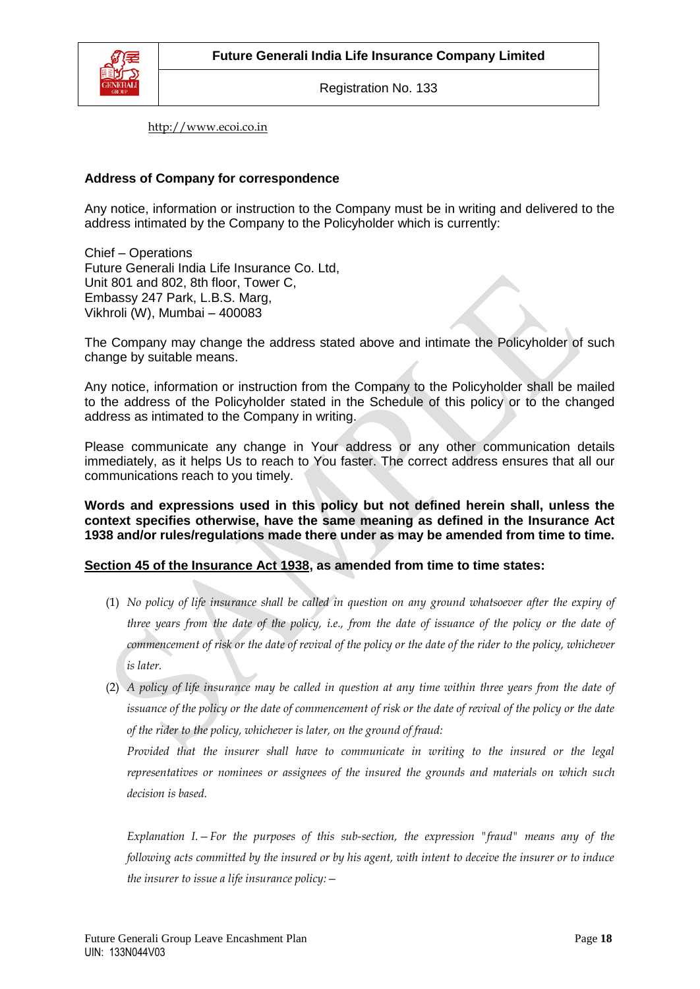

[http://www.ecoi.co.in](http://www.ecoi.co.in/)

### **Address of Company for correspondence**

Any notice, information or instruction to the Company must be in writing and delivered to the address intimated by the Company to the Policyholder which is currently:

Chief – Operations Future Generali India Life Insurance Co. Ltd, Unit 801 and 802, 8th floor, Tower C, Embassy 247 Park, L.B.S. Marg, Vikhroli (W), Mumbai – 400083

The Company may change the address stated above and intimate the Policyholder of such change by suitable means.

Any notice, information or instruction from the Company to the Policyholder shall be mailed to the address of the Policyholder stated in the Schedule of this policy or to the changed address as intimated to the Company in writing.

Please communicate any change in Your address or any other communication details immediately, as it helps Us to reach to You faster. The correct address ensures that all our communications reach to you timely.

**Words and expressions used in this policy but not defined herein shall, unless the context specifies otherwise, have the same meaning as defined in the Insurance Act 1938 and/or rules/regulations made there under as may be amended from time to time.**

## **Section 45 of the Insurance Act 1938, as amended from time to time states:**

- (1) *No policy of life insurance shall be called in question on any ground whatsoever after the expiry of three years from the date of the policy, i.e., from the date of issuance of the policy or the date of commencement of risk or the date of revival of the policy or the date of the rider to the policy, whichever is later.*
- (2) *A policy of life insurance may be called in question at any time within three years from the date of issuance of the policy or the date of commencement of risk or the date of revival of the policy or the date of the rider to the policy, whichever is later, on the ground of fraud:*

*Provided that the insurer shall have to communicate in writing to the insured or the legal representatives or nominees or assignees of the insured the grounds and materials on which such decision is based.*

*Explanation I.—For the purposes of this sub-section, the expression "fraud" means any of the following acts committed by the insured or by his agent, with intent to deceive the insurer or to induce the insurer to issue a life insurance policy:—*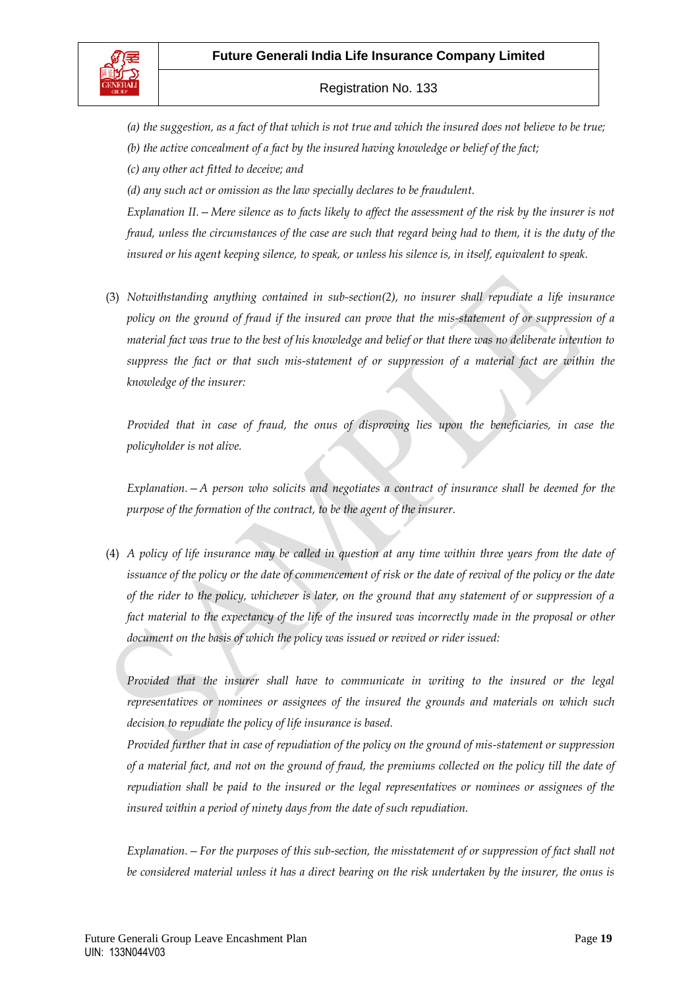

*(a) the suggestion, as a fact of that which is not true and which the insured does not believe to be true; (b) the active concealment of a fact by the insured having knowledge or belief of the fact;*

*(c) any other act fitted to deceive; and*

*(d) any such act or omission as the law specially declares to be fraudulent.*

*Explanation II.—Mere silence as to facts likely to affect the assessment of the risk by the insurer is not fraud, unless the circumstances of the case are such that regard being had to them, it is the duty of the insured or his agent keeping silence, to speak, or unless his silence is, in itself, equivalent to speak.*

(3) *Notwithstanding anything contained in sub-section(2), no insurer shall repudiate a life insurance policy on the ground of fraud if the insured can prove that the mis-statement of or suppression of a material fact was true to the best of his knowledge and belief or that there was no deliberate intention to suppress the fact or that such mis-statement of or suppression of a material fact are within the knowledge of the insurer:*

*Provided that in case of fraud, the onus of disproving lies upon the beneficiaries, in case the policyholder is not alive.* 

*Explanation.—A person who solicits and negotiates a contract of insurance shall be deemed for the purpose of the formation of the contract, to be the agent of the insurer.*

(4) *A policy of life insurance may be called in question at any time within three years from the date of issuance of the policy or the date of commencement of risk or the date of revival of the policy or the date of the rider to the policy, whichever is later, on the ground that any statement of or suppression of a*  fact material to the expectancy of the life of the insured was incorrectly made in the proposal or other *document on the basis of which the policy was issued or revived or rider issued:*

Provided that the insurer shall have to communicate in writing to the insured or the legal *representatives or nominees or assignees of the insured the grounds and materials on which such decision to repudiate the policy of life insurance is based.*

*Provided further that in case of repudiation of the policy on the ground of mis-statement or suppression of a material fact, and not on the ground of fraud, the premiums collected on the policy till the date of repudiation shall be paid to the insured or the legal representatives or nominees or assignees of the insured within a period of ninety days from the date of such repudiation.*

*Explanation.—For the purposes of this sub-section, the misstatement of or suppression of fact shall not be considered material unless it has a direct bearing on the risk undertaken by the insurer, the onus is*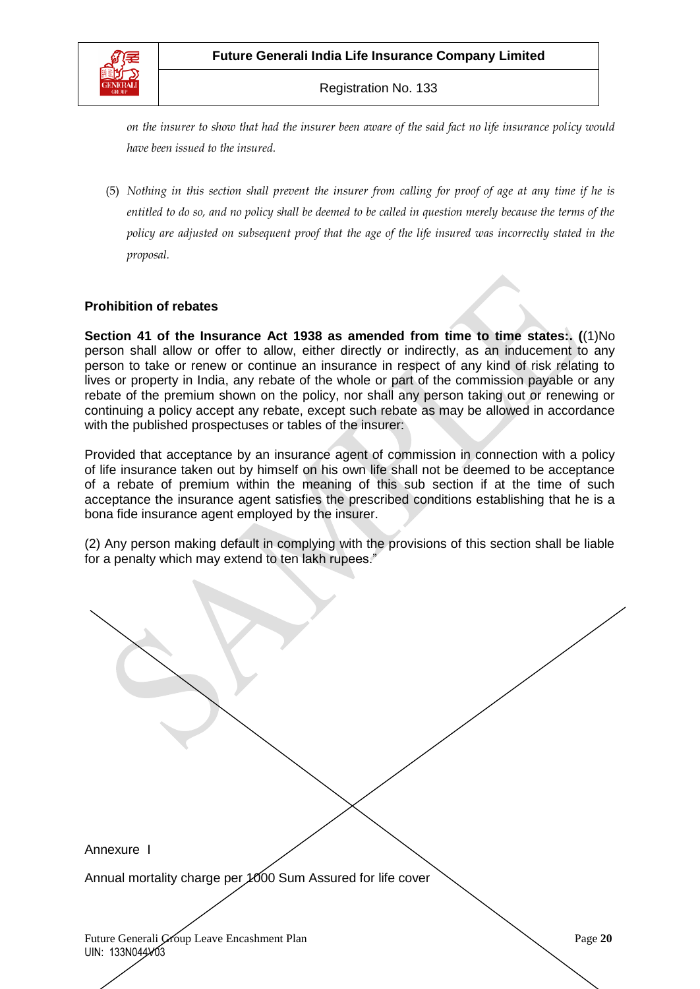

*on the insurer to show that had the insurer been aware of the said fact no life insurance policy would have been issued to the insured.*

(5) *Nothing in this section shall prevent the insurer from calling for proof of age at any time if he is entitled to do so, and no policy shall be deemed to be called in question merely because the terms of the policy are adjusted on subsequent proof that the age of the life insured was incorrectly stated in the proposal.* 

### **Prohibition of rebates**

**Section 41 of the Insurance Act 1938 as amended from time to time states:. (**(1)No person shall allow or offer to allow, either directly or indirectly, as an inducement to any person to take or renew or continue an insurance in respect of any kind of risk relating to lives or property in India, any rebate of the whole or part of the commission payable or any rebate of the premium shown on the policy, nor shall any person taking out or renewing or continuing a policy accept any rebate, except such rebate as may be allowed in accordance with the published prospectuses or tables of the insurer:

Provided that acceptance by an insurance agent of commission in connection with a policy of life insurance taken out by himself on his own life shall not be deemed to be acceptance of a rebate of premium within the meaning of this sub section if at the time of such acceptance the insurance agent satisfies the prescribed conditions establishing that he is a bona fide insurance agent employed by the insurer.

(2) Any person making default in complying with the provisions of this section shall be liable for a penalty which may extend to ten lakh rupees."

Annexure I

Annual mortality charge per 1000 Sum Assured for life cover

Future Generali Group Leave Encashment Plan Page 20 UIN: 133N044V03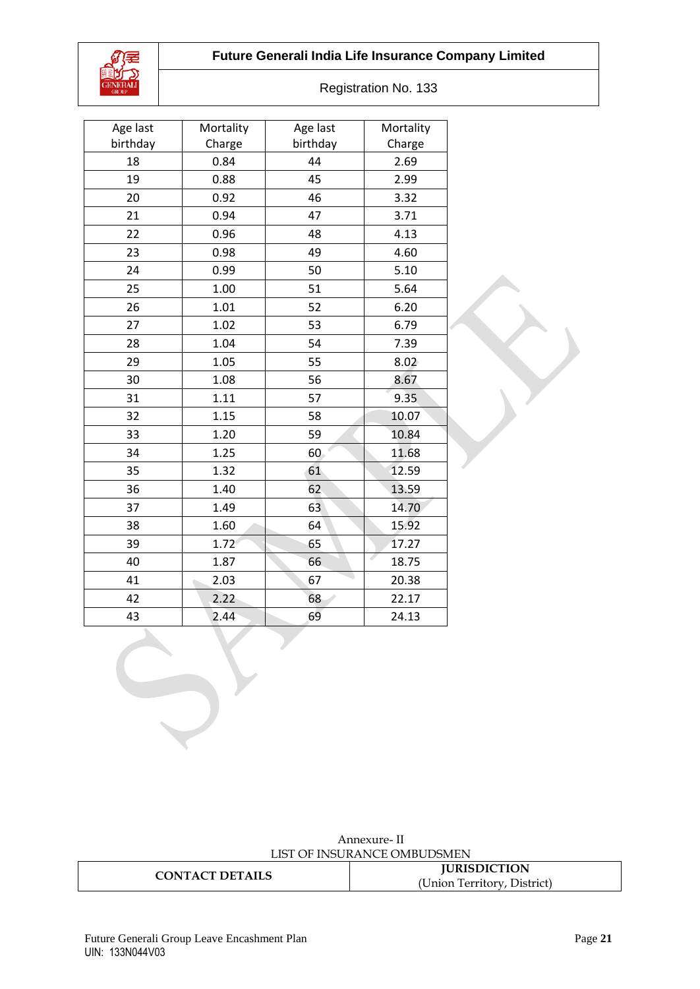## **Future Generali India Life Insurance Company Limited**



| Age last | Mortality | Age last | Mortality  |
|----------|-----------|----------|------------|
| birthday | Charge    | birthday | Charge     |
| 18       | 0.84      | 44       | 2.69       |
| 19       | 0.88      | 45       | 2.99       |
| 20       | 0.92      | 46       | 3.32       |
| 21       | 0.94      | 47       | 3.71       |
| 22       | 0.96      | 48       | 4.13       |
| 23       | 0.98      | 49       | 4.60       |
| 24       | 0.99      | 50       | 5.10       |
| 25       | 1.00      | 51       | 5.64       |
| 26       | 1.01      | 52       | 6.20       |
| 27       | 1.02      | 53       | 6.79       |
| 28       | 1.04      | 54       | 7.39       |
| 29       | 1.05      | 55       | 8.02       |
| 30       | 1.08      | 56       | 8.67       |
| 31       | 1.11      | 57       | 9.35       |
| 32       | 1.15      | 58       | 10.07      |
| 33       | 1.20      | 59       | 10.84      |
| 34       | 1.25      | 60       | 11.68      |
| 35       | 1.32      | 61       | 12.59      |
| 36       | 1.40      | 62       | 13.59      |
| 37       | 1.49      | 63       | 14.70      |
| 38       | 1.60      | 64       | 15.92      |
| 39       | 1.72      | 65       | 17.27      |
| 40       | 1.87      | 66       | 4<br>18.75 |
| 41       | 2.03      | 67       | 20.38      |
| 42       | 2.22      | 68       | 22.17      |
| 43       | 2.44      | 69       | 24.13      |

Annexure- II LIST OF INSURANCE OMBUDSMEN

| <b>CT DETAILS</b><br>7N<br>$\Lambda$<br>. | <b>JURISDICTION</b>                 |  |
|-------------------------------------------|-------------------------------------|--|
|                                           | T Inion<br>Lerritory<br>. )istrict: |  |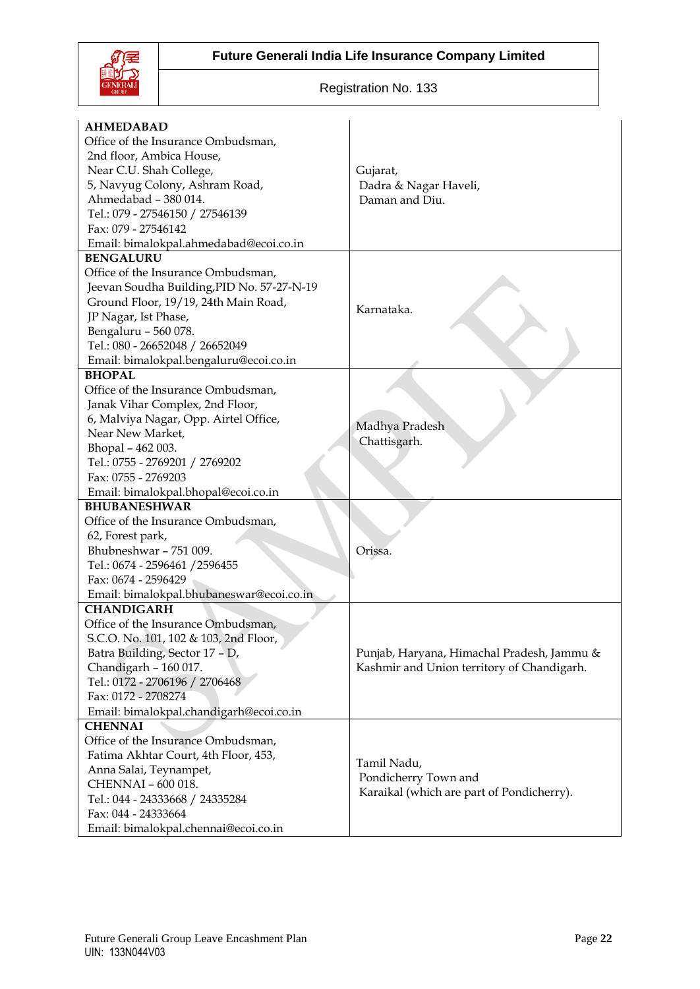

| <b>AHMEDABAD</b>                           |                                                                                          |  |
|--------------------------------------------|------------------------------------------------------------------------------------------|--|
| Office of the Insurance Ombudsman,         |                                                                                          |  |
| 2nd floor, Ambica House,                   |                                                                                          |  |
| Near C.U. Shah College,                    | Gujarat,                                                                                 |  |
| 5, Navyug Colony, Ashram Road,             | Dadra & Nagar Haveli,                                                                    |  |
| Ahmedabad - 380 014.                       | Daman and Diu.                                                                           |  |
| Tel.: 079 - 27546150 / 27546139            |                                                                                          |  |
| Fax: 079 - 27546142                        |                                                                                          |  |
| Email: bimalokpal.ahmedabad@ecoi.co.in     |                                                                                          |  |
| <b>BENGALURU</b>                           |                                                                                          |  |
| Office of the Insurance Ombudsman,         |                                                                                          |  |
| Jeevan Soudha Building, PID No. 57-27-N-19 |                                                                                          |  |
| Ground Floor, 19/19, 24th Main Road,       | Karnataka.                                                                               |  |
| JP Nagar, Ist Phase,                       |                                                                                          |  |
| Bengaluru - 560 078.                       |                                                                                          |  |
| Tel.: 080 - 26652048 / 26652049            |                                                                                          |  |
| Email: bimalokpal.bengaluru@ecoi.co.in     |                                                                                          |  |
| <b>BHOPAL</b>                              |                                                                                          |  |
| Office of the Insurance Ombudsman,         |                                                                                          |  |
| Janak Vihar Complex, 2nd Floor,            |                                                                                          |  |
| 6, Malviya Nagar, Opp. Airtel Office,      |                                                                                          |  |
| Near New Market,                           | Madhya Pradesh                                                                           |  |
| Bhopal - 462 003.                          | Chattisgarh.                                                                             |  |
| Tel.: 0755 - 2769201 / 2769202             |                                                                                          |  |
| Fax: 0755 - 2769203                        |                                                                                          |  |
| Email: bimalokpal.bhopal@ecoi.co.in        |                                                                                          |  |
| <b>BHUBANESHWAR</b>                        |                                                                                          |  |
| Office of the Insurance Ombudsman,         |                                                                                          |  |
| 62, Forest park,                           |                                                                                          |  |
| Bhubneshwar - 751 009.                     | Orissa.                                                                                  |  |
| Tel.: 0674 - 2596461 / 2596455             |                                                                                          |  |
| Fax: 0674 - 2596429                        |                                                                                          |  |
| Email: bimalokpal.bhubaneswar@ecoi.co.in   |                                                                                          |  |
| <b>CHANDIGARH</b>                          |                                                                                          |  |
| Office of the Insurance Ombudsman,         |                                                                                          |  |
| S.C.O. No. 101, 102 & 103, 2nd Floor,      |                                                                                          |  |
| Batra Building, Sector 17 - D,             | Punjab, Haryana, Himachal Pradesh, Jammu &<br>Kashmir and Union territory of Chandigarh. |  |
| Chandigarh - 160 017.                      |                                                                                          |  |
| Tel.: 0172 - 2706196 / 2706468             |                                                                                          |  |
| Fax: 0172 - 2708274                        |                                                                                          |  |
| Email: bimalokpal.chandigarh@ecoi.co.in    |                                                                                          |  |
| <b>CHENNAI</b>                             |                                                                                          |  |
| Office of the Insurance Ombudsman,         |                                                                                          |  |
| Fatima Akhtar Court, 4th Floor, 453,       | Tamil Nadu,<br>Pondicherry Town and                                                      |  |
| Anna Salai, Teynampet,                     |                                                                                          |  |
| CHENNAI - 600 018.                         |                                                                                          |  |
| Tel.: 044 - 24333668 / 24335284            | Karaikal (which are part of Pondicherry).                                                |  |
| Fax: 044 - 24333664                        |                                                                                          |  |
| Email: bimalokpal.chennai@ecoi.co.in       |                                                                                          |  |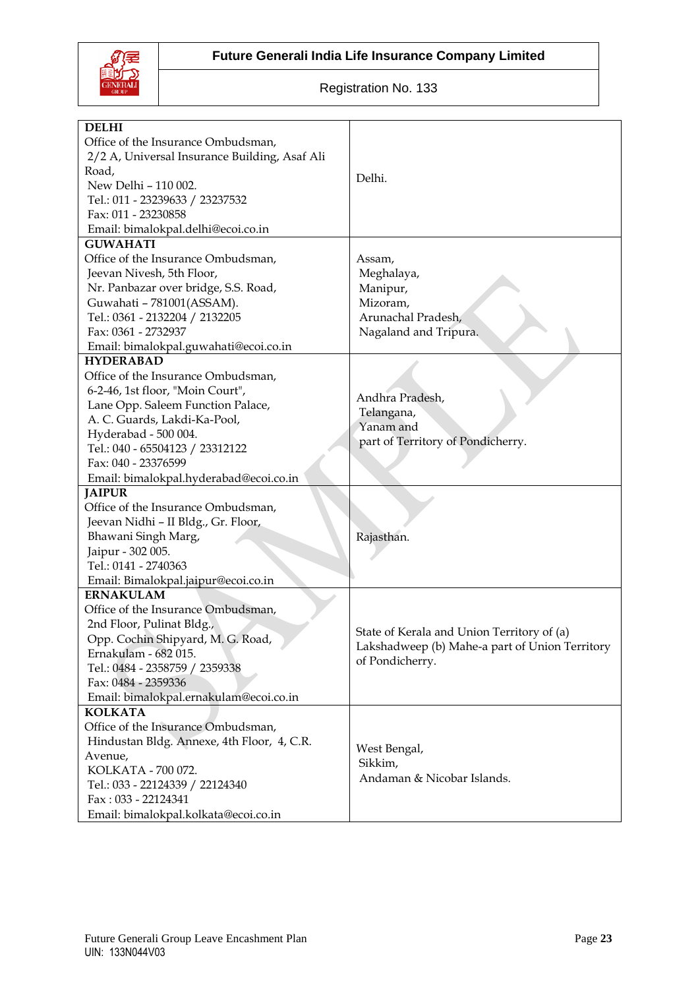



| <b>DELHI</b>                                          |                                                |  |
|-------------------------------------------------------|------------------------------------------------|--|
| Office of the Insurance Ombudsman,                    |                                                |  |
| 2/2 A, Universal Insurance Building, Asaf Ali         |                                                |  |
| Road,                                                 |                                                |  |
| New Delhi - 110 002.                                  | Delhi.                                         |  |
| Tel.: 011 - 23239633 / 23237532                       |                                                |  |
| Fax: 011 - 23230858                                   |                                                |  |
|                                                       |                                                |  |
| Email: bimalokpal.delhi@ecoi.co.in<br><b>GUWAHATI</b> |                                                |  |
| Office of the Insurance Ombudsman,                    |                                                |  |
|                                                       | Assam,                                         |  |
| Jeevan Nivesh, 5th Floor,                             | Meghalaya,                                     |  |
| Nr. Panbazar over bridge, S.S. Road,                  | Manipur,                                       |  |
| Guwahati - 781001(ASSAM).                             | Mizoram,                                       |  |
| Tel.: 0361 - 2132204 / 2132205                        | Arunachal Pradesh,                             |  |
| Fax: 0361 - 2732937                                   | Nagaland and Tripura.                          |  |
| Email: bimalokpal.guwahati@ecoi.co.in                 |                                                |  |
| <b>HYDERABAD</b>                                      |                                                |  |
| Office of the Insurance Ombudsman,                    |                                                |  |
| 6-2-46, 1st floor, "Moin Court",                      | Andhra Pradesh,                                |  |
| Lane Opp. Saleem Function Palace,                     | Telangana,                                     |  |
| A. C. Guards, Lakdi-Ka-Pool,                          | Yanam and                                      |  |
| Hyderabad - 500 004.                                  | part of Territory of Pondicherry.              |  |
| Tel.: 040 - 65504123 / 23312122                       |                                                |  |
| Fax: 040 - 23376599                                   |                                                |  |
| Email: bimalokpal.hyderabad@ecoi.co.in                |                                                |  |
| <b>JAIPUR</b>                                         |                                                |  |
| Office of the Insurance Ombudsman,                    |                                                |  |
| Jeevan Nidhi - II Bldg., Gr. Floor,                   | Rajasthan.                                     |  |
| Bhawani Singh Marg,                                   |                                                |  |
| Jaipur - 302 005.                                     |                                                |  |
| Tel.: 0141 - 2740363                                  |                                                |  |
| Email: Bimalokpal.jaipur@ecoi.co.in                   |                                                |  |
| <b>ERNAKULAM</b>                                      |                                                |  |
| Office of the Insurance Ombudsman,                    |                                                |  |
| 2nd Floor, Pulinat Bldg.,                             | State of Kerala and Union Territory of (a)     |  |
| Opp. Cochin Shipyard, M. G. Road,                     | Lakshadweep (b) Mahe-a part of Union Territory |  |
| Ernakulam - 682 015.                                  | of Pondicherry.                                |  |
| Tel.: 0484 - 2358759 / 2359338                        |                                                |  |
| Fax: 0484 - 2359336                                   |                                                |  |
| Email: bimalokpal.ernakulam@ecoi.co.in                |                                                |  |
| <b>KOLKATA</b>                                        |                                                |  |
| Office of the Insurance Ombudsman,                    |                                                |  |
| Hindustan Bldg. Annexe, 4th Floor, 4, C.R.            |                                                |  |
| Avenue,                                               | West Bengal,                                   |  |
| KOLKATA - 700 072.                                    | Sikkim,<br>Andaman & Nicobar Islands.          |  |
| Tel.: 033 - 22124339 / 22124340                       |                                                |  |
| Fax: 033 - 22124341                                   |                                                |  |
| Email: bimalokpal.kolkata@ecoi.co.in                  |                                                |  |